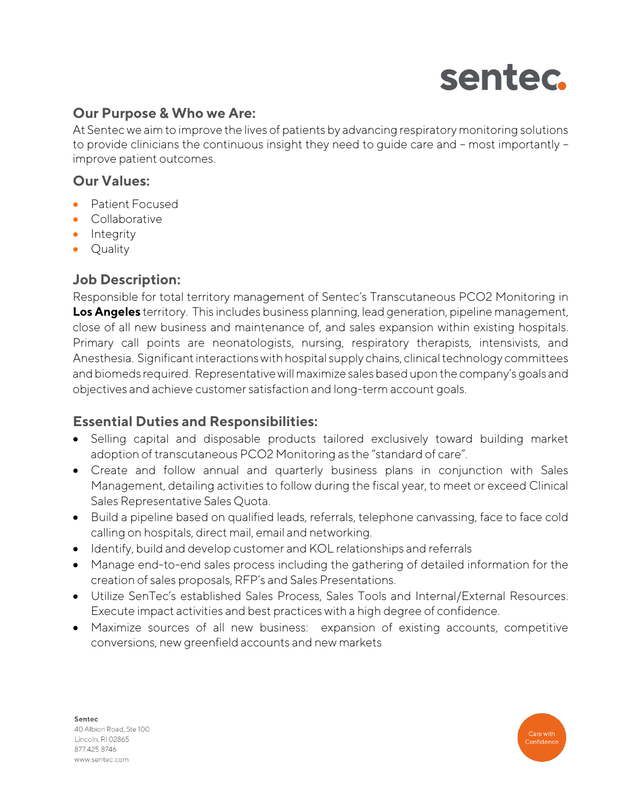

## **Our Purpose & Who we Are:**

At Sentec we aim to improve the lives of patients by advancing respiratory monitoring solutions to provide clinicians the continuous insight they need to guide care and – most importantly – improve patient outcomes.

## **Our Values:**

- Patient Focused
- Collaborative
- Integrity
- Quality

### **Job Description:**

Responsible for total territory management of Sentec's Transcutaneous PCO2 Monitoring in **Los Angeles** territory. This includes business planning, lead generation, pipeline management, close of all new business and maintenance of, and sales expansion within existing hospitals. Primary call points are neonatologists, nursing, respiratory therapists, intensivists, and Anesthesia. Significant interactions with hospital supply chains, clinical technology committees and biomeds required. Representative will maximize sales based upon the company's goals and objectives and achieve customer satisfaction and long-term account goals.

## **Essential Duties and Responsibilities:**

- Selling capital and disposable products tailored exclusively toward building market adoption of transcutaneous PCO2 Monitoring as the "standard of care".
- Create and follow annual and quarterly business plans in conjunction with Sales Management, detailing activities to follow during the fiscal year, to meet or exceed Clinical Sales Representative Sales Quota.
- Build a pipeline based on qualified leads, referrals, telephone canvassing, face to face cold calling on hospitals, direct mail, email and networking.
- Identify, build and develop customer and KOL relationships and referrals
- Manage end-to-end sales process including the gathering of detailed information for the creation of sales proposals, RFP's and Sales Presentations.
- Utilize SenTec's established Sales Process, Sales Tools and Internal/External Resources. Execute impact activities and best practices with a high degree of confidence.
- Maximize sources of all new business: expansion of existing accounts, competitive conversions, new greenfield accounts and new markets

Sentec 40 Albion Road, Ste 100 Lincoln, RI 02865 877.425.8746 www.sentec.com

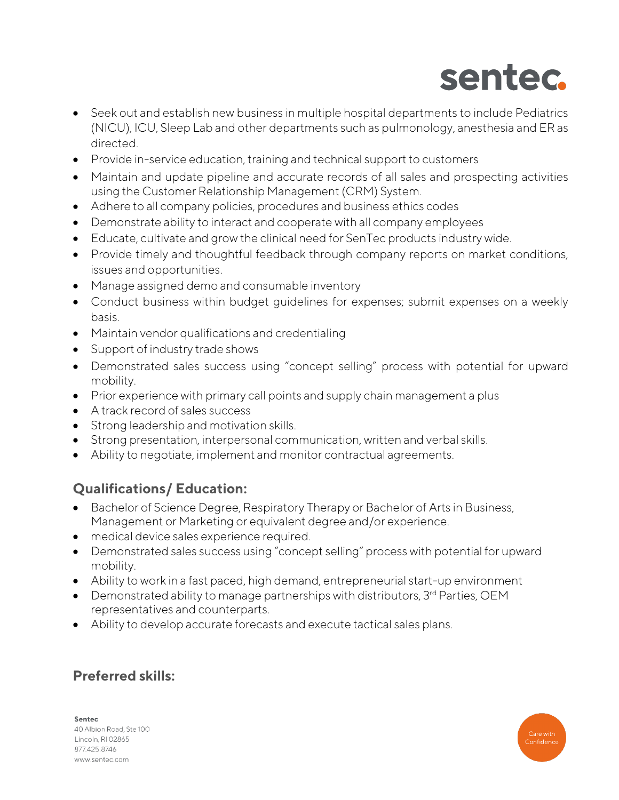

- Seek out and establish new business in multiple hospital departments to include Pediatrics (NICU), ICU, Sleep Lab and other departments such as pulmonology, anesthesia and ER as directed.
- Provide in-service education, training and technical support to customers
- Maintain and update pipeline and accurate records of all sales and prospecting activities using the Customer Relationship Management (CRM) System.
- Adhere to all company policies, procedures and business ethics codes
- Demonstrate ability to interact and cooperate with all company employees
- Educate, cultivate and grow the clinical need for SenTec products industry wide.
- Provide timely and thoughtful feedback through company reports on market conditions, issues and opportunities.
- Manage assigned demo and consumable inventory
- Conduct business within budget guidelines for expenses; submit expenses on a weekly basis.
- Maintain vendor qualifications and credentialing
- Support of industry trade shows
- Demonstrated sales success using "concept selling" process with potential for upward mobility.
- Prior experience with primary call points and supply chain management a plus
- A track record of sales success
- Strong leadership and motivation skills.
- Strong presentation, interpersonal communication, written and verbal skills.
- Ability to negotiate, implement and monitor contractual agreements.

# **Qualifications/ Education:**

- Bachelor of Science Degree, Respiratory Therapy or Bachelor of Arts in Business, Management or Marketing or equivalent degree and/or experience.
- medical device sales experience required.
- Demonstrated sales success using "concept selling" process with potential for upward mobility.
- Ability to work in a fast paced, high demand, entrepreneurial start-up environment
- Demonstrated ability to manage partnerships with distributors,  $3<sup>rd</sup>$  Parties, OEM representatives and counterparts.
- Ability to develop accurate forecasts and execute tactical sales plans.

# **Preferred skills:**

Sentec 40 Albion Road, Ste 100 Lincoln, RI 02865 877.425.8746 www.sentec.com